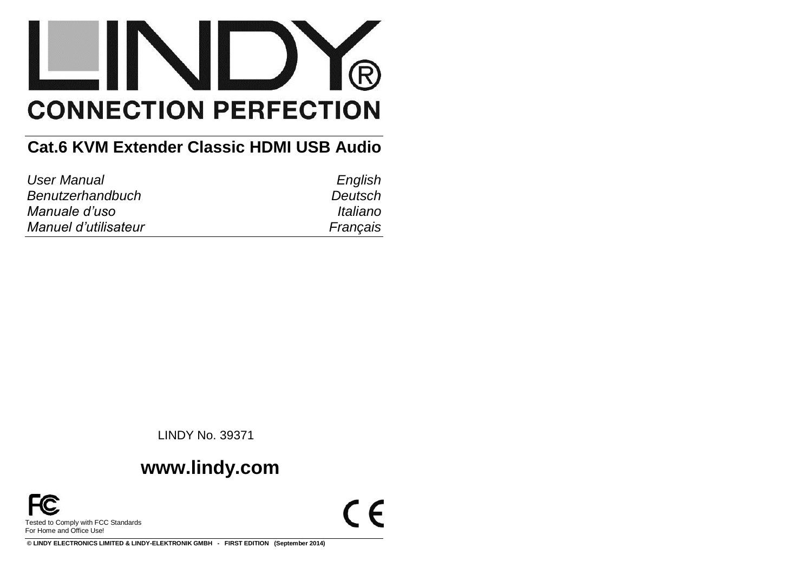

# **Cat.6 KVM Extender Classic HDMI USB Audio**

| User Manual          | English  |
|----------------------|----------|
| Benutzerhandbuch     | Deutsch  |
| Manuale d'uso        | Italiano |
| Manuel d'utilisateur | Francais |

LINDY No. 39371

# **www.lindy.com**



 $C \in$ 

**© LINDY ELECTRONICS LIMITED & LINDY-ELEKTRONIK GMBH - FIRST EDITION (September 2014)**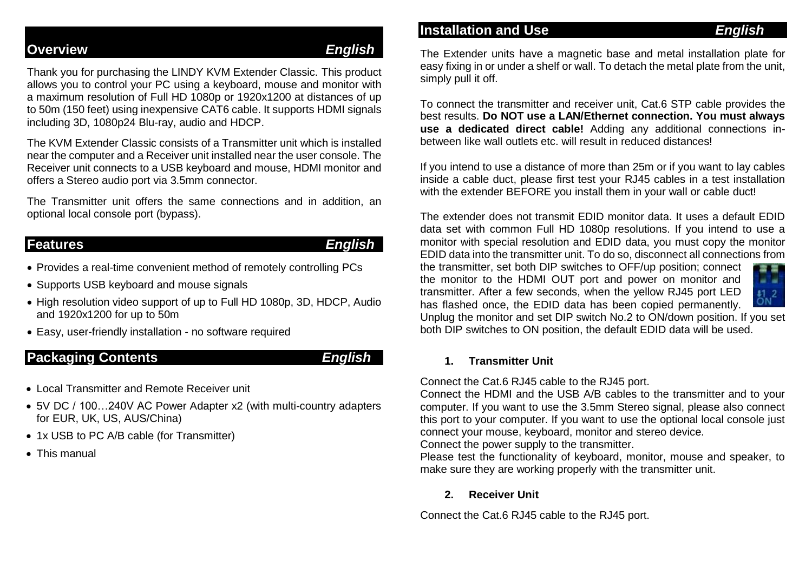## **Overview** *English*

Thank you for purchasing the LINDY KVM Extender Classic. This product allows you to control your PC using a keyboard, mouse and monitor with a maximum resolution of Full HD 1080p or 1920x1200 at distances of up to 50m (150 feet) using inexpensive CAT6 cable. It supports HDMI signals including 3D, 1080p24 Blu-ray, audio and HDCP.

The KVM Extender Classic consists of a Transmitter unit which is installed near the computer and a Receiver unit installed near the user console. The Receiver unit connects to a USB keyboard and mouse, HDMI monitor and offers a Stereo audio port via 3.5mm connector.

The Transmitter unit offers the same connections and in addition, an optional local console port (bypass).

### **Features** *English*

- Provides a real-time convenient method of remotely controlling PCs
- Supports USB keyboard and mouse signals
- High resolution video support of up to Full HD 1080p, 3D, HDCP, Audio and 1920x1200 for up to 50m
- Easy, user-friendly installation no software required

## **Packaging Contents** *English*

- **.** Local Transmitter and Remote Receiver unit
- 5V DC / 100…240V AC Power Adapter x2 (with multi-country adapters for EUR, UK, US, AUS/China)
- 1x USB to PC A/B cable (for Transmitter)
- This manual

## **Installation and Use** *English*

The Extender units have a magnetic base and metal installation plate for easy fixing in or under a shelf or wall. To detach the metal plate from the unit, simply pull it off.

To connect the transmitter and receiver unit, Cat.6 STP cable provides the best results. **Do NOT use a LAN/Ethernet connection. You must always use a dedicated direct cable!** Adding any additional connections inbetween like wall outlets etc. will result in reduced distances!

If you intend to use a distance of more than 25m or if you want to lay cables inside a cable duct, please first test your RJ45 cables in a test installation with the extender BEFORE you install them in your wall or cable duct!

The extender does not transmit EDID monitor data. It uses a default EDID data set with common Full HD 1080p resolutions. If you intend to use a monitor with special resolution and EDID data, you must copy the monitor EDID data into the transmitter unit. To do so, disconnect all connections from

the transmitter, set both DIP switches to OFF/up position; connect the monitor to the HDMI OUT port and power on monitor and transmitter. After a few seconds, when the yellow RJ45 port LED has flashed once, the EDID data has been copied permanently.



Unplug the monitor and set DIP switch No.2 to ON/down position. If you set both DIP switches to ON position, the default EDID data will be used.

### **1. Transmitter Unit**

Connect the Cat.6 RJ45 cable to the RJ45 port.

Connect the HDMI and the USB A/B cables to the transmitter and to your computer. If you want to use the 3.5mm Stereo signal, please also connect this port to your computer. If you want to use the optional local console just connect your mouse, keyboard, monitor and stereo device.

Connect the power supply to the transmitter.

Please test the functionality of keyboard, monitor, mouse and speaker, to make sure they are working properly with the transmitter unit.

### **2. Receiver Unit**

Connect the Cat.6 RJ45 cable to the RJ45 port.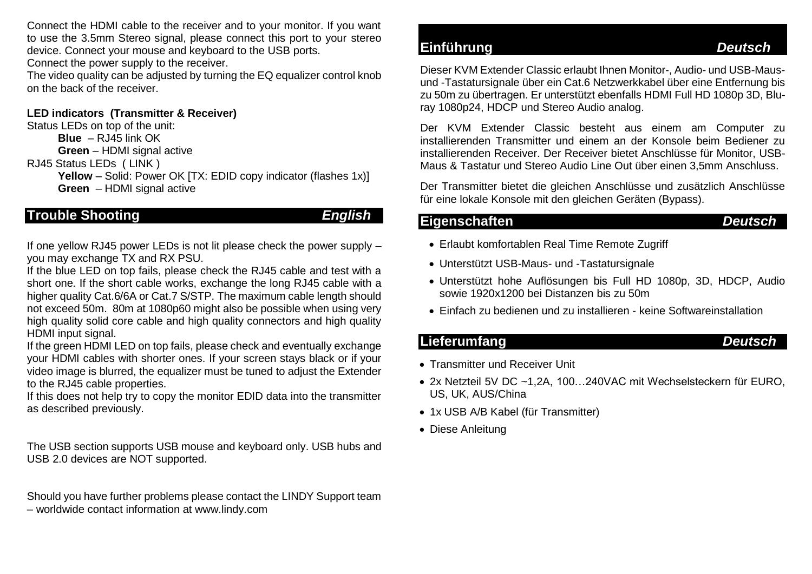Connect the HDMI cable to the receiver and to your monitor. If you want to use the 3.5mm Stereo signal, please connect this port to your stereo device. Connect your mouse and keyboard to the USB ports.

Connect the power supply to the receiver.

The video quality can be adjusted by turning the EQ equalizer control knob on the back of the receiver.

#### **LED indicators (Transmitter & Receiver)**

Status LEDs on top of the unit:

**Blue** – RJ45 link OK

**Green** – HDMI signal active

RJ45 Status LEDs ( LINK )

**Yellow** – Solid: Power OK [TX: EDID copy indicator (flashes 1x)] **Green** – HDMI signal active

## **Trouble Shooting** *English*

If one yellow RJ45 power LEDs is not lit please check the power supply – you may exchange TX and RX PSU.

If the blue LED on top fails, please check the RJ45 cable and test with a short one. If the short cable works, exchange the long RJ45 cable with a higher quality Cat.6/6A or Cat.7 S/STP. The maximum cable length should not exceed 50m. 80m at 1080p60 might also be possible when using very high quality solid core cable and high quality connectors and high quality HDMI input signal.

If the green HDMI LED on top fails, please check and eventually exchange your HDMI cables with shorter ones. If your screen stays black or if your video image is blurred, the equalizer must be tuned to adjust the Extender to the RJ45 cable properties.

If this does not help try to copy the monitor EDID data into the transmitter as described previously.

The USB section supports USB mouse and keyboard only. USB hubs and USB 2.0 devices are NOT supported.

Should you have further problems please contact the LINDY Support team – worldwide contact information at www.lindy.com

## **Einführung** *Deutsch*

Dieser KVM Extender Classic erlaubt Ihnen Monitor-, Audio- und USB-Mausund -Tastatursignale über ein Cat.6 Netzwerkkabel über eine Entfernung bis zu 50m zu übertragen. Er unterstützt ebenfalls HDMI Full HD 1080p 3D, Bluray 1080p24, HDCP und Stereo Audio analog.

Der KVM Extender Classic besteht aus einem am Computer zu installierenden Transmitter und einem an der Konsole beim Bediener zu installierenden Receiver. Der Receiver bietet Anschlüsse für Monitor, USB-Maus & Tastatur und Stereo Audio Line Out über einen 3,5mm Anschluss.

Der Transmitter bietet die gleichen Anschlüsse und zusätzlich Anschlüsse für eine lokale Konsole mit den gleichen Geräten (Bypass).

### **Eigenschaften** *Deutsch*

- Erlaubt komfortablen Real Time Remote Zugriff
- Unterstützt USB-Maus- und -Tastatursignale
- Unterstützt hohe Auflösungen bis Full HD 1080p, 3D, HDCP, Audio sowie 1920x1200 bei Distanzen bis zu 50m
- Einfach zu bedienen und zu installieren keine Softwareinstallation

## **Lieferumfang** *Deutsch*

- Transmitter und Receiver Unit
- 2x Netzteil 5V DC ~1,2A, 100…240VAC mit Wechselsteckern für EURO, US, UK, AUS/China
- 1x USB A/B Kabel (für Transmitter)
- Diese Anleitung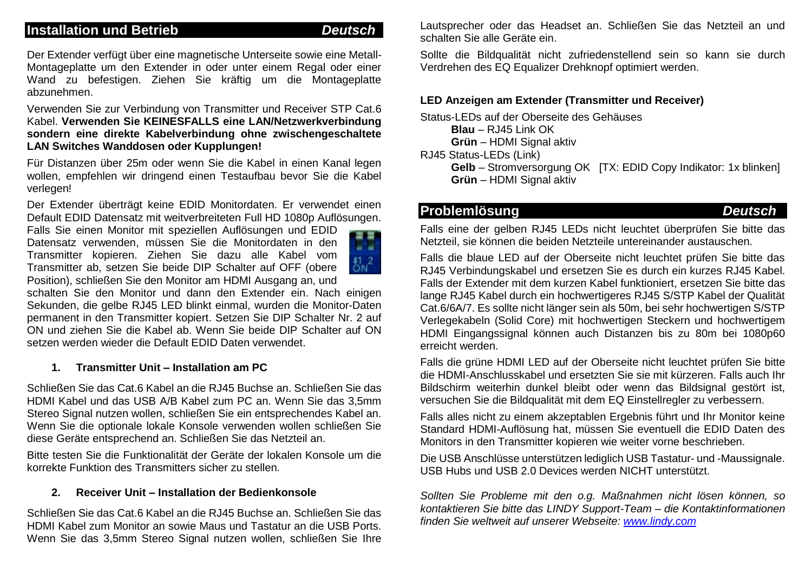## **Installation und Betrieb** *Deutsch*

Der Extender verfügt über eine magnetische Unterseite sowie eine Metall-Montageplatte um den Extender in oder unter einem Regal oder einer Wand zu befestigen. Ziehen Sie kräftig um die Montageplatte abzunehmen.

Verwenden Sie zur Verbindung von Transmitter und Receiver STP Cat.6 Kabel. **Verwenden Sie KEINESFALLS eine LAN/Netzwerkverbindung sondern eine direkte Kabelverbindung ohne zwischengeschaltete LAN Switches Wanddosen oder Kupplungen!** 

Für Distanzen über 25m oder wenn Sie die Kabel in einen Kanal legen wollen, empfehlen wir dringend einen Testaufbau bevor Sie die Kabel verlegen!

Der Extender überträgt keine EDID Monitordaten. Er verwendet einen Default EDID Datensatz mit weitverbreiteten Full HD 1080p Auflösungen.

Falls Sie einen Monitor mit speziellen Auflösungen und EDID Datensatz verwenden, müssen Sie die Monitordaten in den Transmitter kopieren. Ziehen Sie dazu alle Kabel vom Transmitter ab, setzen Sie beide DIP Schalter auf OFF (obere Position), schließen Sie den Monitor am HDMI Ausgang an, und



schalten Sie den Monitor und dann den Extender ein. Nach einigen Sekunden, die gelbe RJ45 LED blinkt einmal, wurden die Monitor-Daten permanent in den Transmitter kopiert. Setzen Sie DIP Schalter Nr. 2 auf ON und ziehen Sie die Kabel ab. Wenn Sie beide DIP Schalter auf ON setzen werden wieder die Default EDID Daten verwendet.

#### **1. Transmitter Unit – Installation am PC**

Schließen Sie das Cat.6 Kabel an die RJ45 Buchse an. Schließen Sie das HDMI Kabel und das USB A/B Kabel zum PC an. Wenn Sie das 3,5mm Stereo Signal nutzen wollen, schließen Sie ein entsprechendes Kabel an. Wenn Sie die optionale lokale Konsole verwenden wollen schließen Sie diese Geräte entsprechend an. Schließen Sie das Netzteil an.

Bitte testen Sie die Funktionalität der Geräte der lokalen Konsole um die korrekte Funktion des Transmitters sicher zu stellen.

#### **2. Receiver Unit – Installation der Bedienkonsole**

Schließen Sie das Cat.6 Kabel an die RJ45 Buchse an. Schließen Sie das HDMI Kabel zum Monitor an sowie Maus und Tastatur an die USB Ports. Wenn Sie das 3,5mm Stereo Signal nutzen wollen, schließen Sie Ihre Lautsprecher oder das Headset an. Schließen Sie das Netzteil an und schalten Sie alle Geräte ein.

Sollte die Bildqualität nicht zufriedenstellend sein so kann sie durch Verdrehen des EQ Equalizer Drehknopf optimiert werden.

#### **LED Anzeigen am Extender (Transmitter und Receiver)**

Status-LEDs auf der Oberseite des Gehäuses

**Blau** – RJ45 Link OK

**Grün** – HDMI Signal aktiv

RJ45 Status-LEDs (Link)

**Gelb** – Stromversorgung OK [TX: EDID Copy Indikator: 1x blinken] **Grün** – HDMI Signal aktiv

## **Problemlösung** *Deutsch*

Falls eine der gelben RJ45 LEDs nicht leuchtet überprüfen Sie bitte das Netzteil, sie können die beiden Netzteile untereinander austauschen.

Falls die blaue LED auf der Oberseite nicht leuchtet prüfen Sie bitte das RJ45 Verbindungskabel und ersetzen Sie es durch ein kurzes RJ45 Kabel. Falls der Extender mit dem kurzen Kabel funktioniert, ersetzen Sie bitte das lange RJ45 Kabel durch ein hochwertigeres RJ45 S/STP Kabel der Qualität Cat.6/6A/7. Es sollte nicht länger sein als 50m, bei sehr hochwertigen S/STP Verlegekabeln (Solid Core) mit hochwertigen Steckern und hochwertigem HDMI Eingangssignal können auch Distanzen bis zu 80m bei 1080p60 erreicht werden.

Falls die grüne HDMI LED auf der Oberseite nicht leuchtet prüfen Sie bitte die HDMI-Anschlusskabel und ersetzten Sie sie mit kürzeren. Falls auch Ihr Bildschirm weiterhin dunkel bleibt oder wenn das Bildsignal gestört ist, versuchen Sie die Bildqualität mit dem EQ Einstellregler zu verbessern.

Falls alles nicht zu einem akzeptablen Ergebnis führt und Ihr Monitor keine Standard HDMI-Auflösung hat, müssen Sie eventuell die EDID Daten des Monitors in den Transmitter kopieren wie weiter vorne beschrieben.

Die USB Anschlüsse unterstützen lediglich USB Tastatur- und -Maussignale. USB Hubs und USB 2.0 Devices werden NICHT unterstützt.

*Sollten Sie Probleme mit den o.g. Maßnahmen nicht lösen können, so kontaktieren Sie bitte das LINDY Support-Team – die Kontaktinformationen finden Sie weltweit auf unserer Webseite: [www.lindy.com](http://www.lindy.com/)*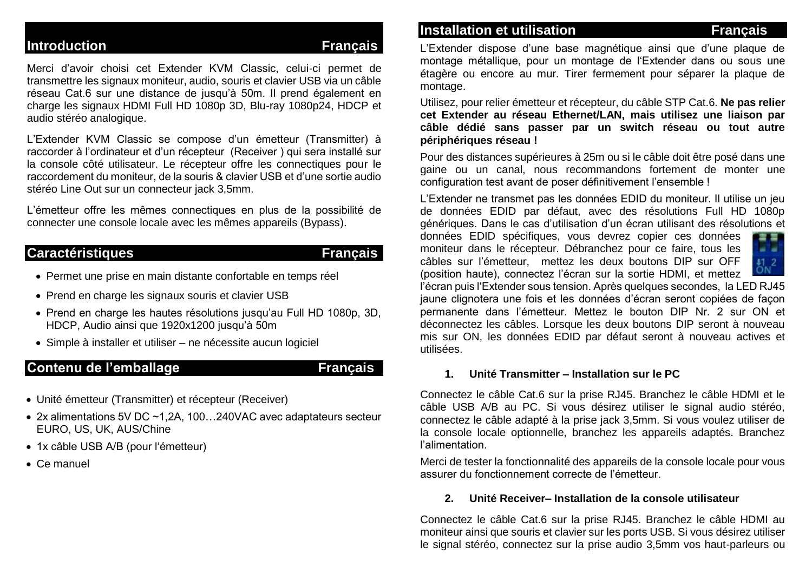### **Introduction Contract Contract Contract Contract Contract Contract Contract Contract Contract Contract Contract Contract Contract Contract Contract Contract Contract Contract Contract Contract Contract Contract Contract C**

Merci d'avoir choisi cet Extender KVM Classic, celui-ci permet de transmettre les signaux moniteur, audio, souris et clavier USB via un câble réseau Cat.6 sur une distance de jusqu'à 50m. Il prend également en charge les signaux HDMI Full HD 1080p 3D, Blu-ray 1080p24, HDCP et audio stéréo analogique.

L'Extender KVM Classic se compose d'un émetteur (Transmitter) à raccorder à l'ordinateur et d'un récepteur (Receiver ) qui sera installé sur la console côté utilisateur. Le récepteur offre les connectiques pour le raccordement du moniteur, de la souris & clavier USB et d'une sortie audio stéréo Line Out sur un connecteur jack 3,5mm.

L'émetteur offre les mêmes connectiques en plus de la possibilité de connecter une console locale avec les mêmes appareils (Bypass).

### **Caractéristiques Français**

- Permet une prise en main distante confortable en temps réel
- Prend en charge les signaux souris et clavier USB
- Prend en charge les hautes résolutions jusqu'au Full HD 1080p, 3D, HDCP, Audio ainsi que 1920x1200 jusqu'à 50m
- Simple à installer et utiliser ne nécessite aucun logiciel

## Contenu de l'emballage **Français**

- Unité émetteur (Transmitter) et récepteur (Receiver)
- 2x alimentations 5V DC ~1,2A, 100…240VAC avec adaptateurs secteur EURO, US, UK, AUS/Chine
- 1x câble USB A/B (pour l'émetteur)
- Ce manuel

### **Installation et utilisation Access 1976** Français

L'Extender dispose d'une base magnétique ainsi que d'une plaque de montage métallique, pour un montage de l'Extender dans ou sous une étagère ou encore au mur. Tirer fermement pour séparer la plaque de montage.

Utilisez, pour relier émetteur et récepteur, du câble STP Cat.6. **Ne pas relier cet Extender au réseau Ethernet/LAN, mais utilisez une liaison par câble dédié sans passer par un switch réseau ou tout autre périphériques réseau !** 

Pour des distances supérieures à 25m ou si le câble doit être posé dans une gaine ou un canal, nous recommandons fortement de monter une configuration test avant de poser définitivement l'ensemble !

L'Extender ne transmet pas les données EDID du moniteur. Il utilise un jeu de données EDID par défaut, avec des résolutions Full HD 1080p génériques. Dans le cas d'utilisation d'un écran utilisant des résolutions et

données EDID spécifiques, vous devrez copier ces données moniteur dans le récepteur. Débranchez pour ce faire, tous les câbles sur l'émetteur, mettez les deux boutons DIP sur OFF (position haute), connectez l'écran sur la sortie HDMI, et mettez



l'écran puis l'Extender sous tension. Après quelques secondes, la LED RJ45 jaune clignotera une fois et les données d'écran seront copiées de façon permanente dans l'émetteur. Mettez le bouton DIP Nr. 2 sur ON et déconnectez les câbles. Lorsque les deux boutons DIP seront à nouveau mis sur ON, les données EDID par défaut seront à nouveau actives et utilisées.

#### **1. Unité Transmitter – Installation sur le PC**

Connectez le câble Cat.6 sur la prise RJ45. Branchez le câble HDMI et le câble USB A/B au PC. Si vous désirez utiliser le signal audio stéréo, connectez le câble adapté à la prise jack 3,5mm. Si vous voulez utiliser de la console locale optionnelle, branchez les appareils adaptés. Branchez l'alimentation.

Merci de tester la fonctionnalité des appareils de la console locale pour vous assurer du fonctionnement correcte de l'émetteur.

#### **2. Unité Receiver– Installation de la console utilisateur**

Connectez le câble Cat.6 sur la prise RJ45. Branchez le câble HDMI au moniteur ainsi que souris et clavier sur les ports USB. Si vous désirez utiliser le signal stéréo, connectez sur la prise audio 3,5mm vos haut-parleurs ou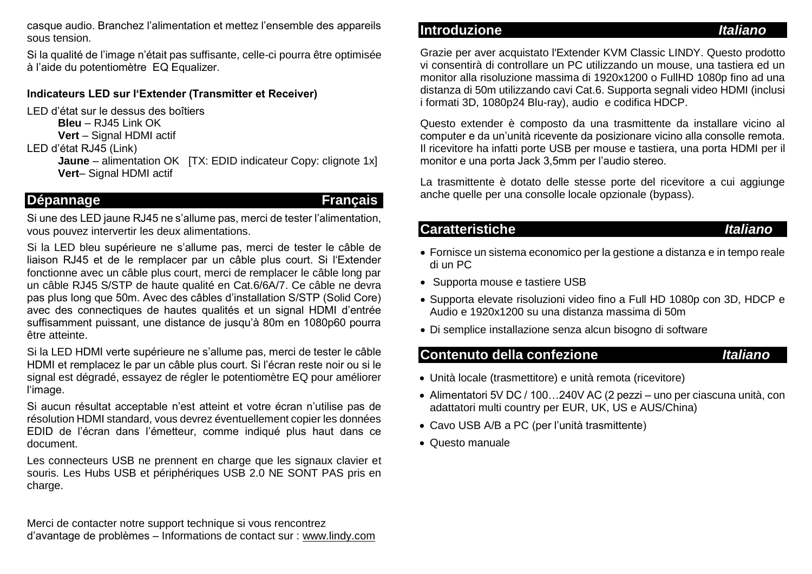casque audio. Branchez l'alimentation et mettez l'ensemble des appareils sous tension.

Si la qualité de l'image n'était pas suffisante, celle-ci pourra être optimisée à l'aide du potentiomètre EQ Equalizer.

#### **Indicateurs LED sur l'Extender (Transmitter et Receiver)**

LED d'état sur le dessus des boîtiers

**Bleu** – RJ45 Link OK

- **Vert** Signal HDMI actif
- LED d'état RJ45 (Link)

**Jaune** – alimentation OK [TX: EDID indicateur Copy: clignote 1x] **Vert**– Signal HDMI actif

### Dépannage **Français**

Si une des LED jaune RJ45 ne s'allume pas, merci de tester l'alimentation, vous pouvez intervertir les deux alimentations.

Si la LED bleu supérieure ne s'allume pas, merci de tester le câble de liaison RJ45 et de le remplacer par un câble plus court. Si l'Extender fonctionne avec un câble plus court, merci de remplacer le câble long par un câble RJ45 S/STP de haute qualité en Cat.6/6A/7. Ce câble ne devra pas plus long que 50m. Avec des câbles d'installation S/STP (Solid Core) avec des connectiques de hautes qualités et un signal HDMI d'entrée suffisamment puissant, une distance de jusqu'à 80m en 1080p60 pourra être atteinte.

Si la LED HDMI verte supérieure ne s'allume pas, merci de tester le câble HDMI et remplacez le par un câble plus court. Si l'écran reste noir ou si le signal est dégradé, essayez de régler le potentiomètre EQ pour améliorer l'image.

Si aucun résultat acceptable n'est atteint et votre écran n'utilise pas de résolution HDMI standard, vous devrez éventuellement copier les données EDID de l'écran dans l'émetteur, comme indiqué plus haut dans ce document.

Les connecteurs USB ne prennent en charge que les signaux clavier et souris. Les Hubs USB et périphériques USB 2.0 NE SONT PAS pris en charge.

Merci de contacter notre support technique si vous rencontrez d'avantage de problèmes – Informations de contact sur : www.lindy.com

### **Introduzione** *Italiano*

Grazie per aver acquistato l'Extender KVM Classic LINDY. Questo prodotto vi consentirà di controllare un PC utilizzando un mouse, una tastiera ed un monitor alla risoluzione massima di 1920x1200 o FullHD 1080p fino ad una distanza di 50m utilizzando cavi Cat.6. Supporta segnali video HDMI (inclusi i formati 3D, 1080p24 Blu-ray), audio e codifica HDCP.

Questo extender è composto da una trasmittente da installare vicino al computer e da un'unità ricevente da posizionare vicino alla consolle remota. Il ricevitore ha infatti porte USB per mouse e tastiera, una porta HDMI per il monitor e una porta Jack 3,5mm per l'audio stereo.

La trasmittente è dotato delle stesse porte del ricevitore a cui aggiunge anche quelle per una consolle locale opzionale (bypass).

### **Caratteristiche** *Italiano*

- Fornisce un sistema economico per la gestione a distanza e in tempo reale di un PC
- Supporta mouse e tastiere USB
- Supporta elevate risoluzioni video fino a Full HD 1080p con 3D, HDCP e Audio e 1920x1200 su una distanza massima di 50m
- Di semplice installazione senza alcun bisogno di software

### **Contenuto della confezione** *Italiano*

- Unità locale (trasmettitore) e unità remota (ricevitore)
- Alimentatori 5V DC / 100…240V AC (2 pezzi uno per ciascuna unità, con adattatori multi country per EUR, UK, US e AUS/China)
- Cavo USB A/B a PC (per l'unità trasmittente)
- Questo manuale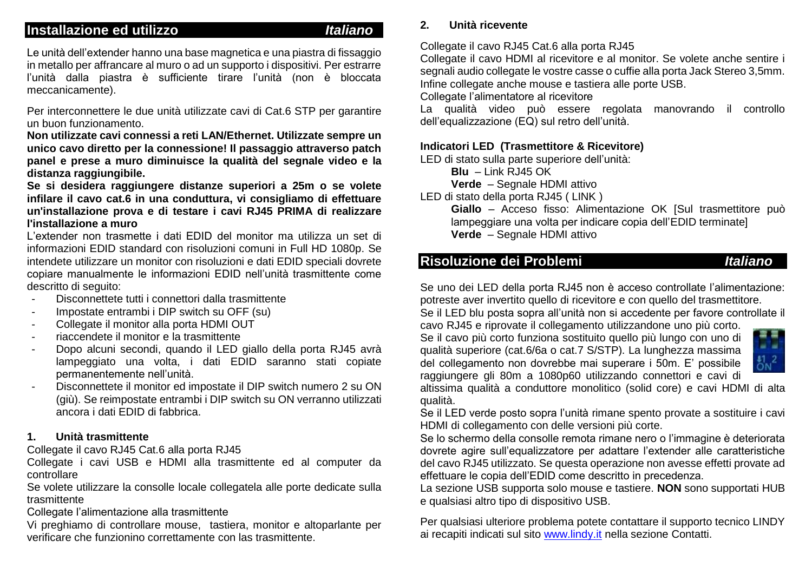### **Installazione ed utilizzo** *Italiano*

Le unità dell'extender hanno una base magnetica e una piastra di fissaggio in metallo per affrancare al muro o ad un supporto i dispositivi. Per estrarre l'unità dalla piastra è sufficiente tirare l'unità (non è bloccata meccanicamente).

Per interconnettere le due unità utilizzate cavi di Cat.6 STP per garantire un buon funzionamento.

**Non utilizzate cavi connessi a reti LAN/Ethernet. Utilizzate sempre un unico cavo diretto per la connessione! Il passaggio attraverso patch panel e prese a muro diminuisce la qualità del segnale video e la distanza raggiungibile.**

**Se si desidera raggiungere distanze superiori a 25m o se volete infilare il cavo cat.6 in una conduttura, vi consigliamo di effettuare un'installazione prova e di testare i cavi RJ45 PRIMA di realizzare l'installazione a muro**

L'extender non trasmette i dati EDID del monitor ma utilizza un set di informazioni EDID standard con risoluzioni comuni in Full HD 1080p. Se intendete utilizzare un monitor con risoluzioni e dati EDID speciali dovrete copiare manualmente le informazioni EDID nell'unità trasmittente come descritto di seguito:

- Disconnettete tutti i connettori dalla trasmittente
- Impostate entrambi i DIP switch su OFF (su)
- Collegate il monitor alla porta HDMI OUT
- riaccendete il monitor e la trasmittente
- Dopo alcuni secondi, quando il LED giallo della porta RJ45 avrà lampeggiato una volta, i dati EDID saranno stati copiate permanentemente nell'unità.
- Disconnettete il monitor ed impostate il DIP switch numero 2 su ON (giù). Se reimpostate entrambi i DIP switch su ON verranno utilizzati ancora i dati EDID di fabbrica.

#### **1. Unità trasmittente**

Collegate il cavo RJ45 Cat.6 alla porta RJ45

Collegate i cavi USB e HDMI alla trasmittente ed al computer da controllare

Se volete utilizzare la consolle locale collegatela alle porte dedicate sulla trasmittente

Collegate l'alimentazione alla trasmittente

Vi preghiamo di controllare mouse, tastiera, monitor e altoparlante per verificare che funzionino correttamente con las trasmittente.

## **2. Unità ricevente**

Collegate il cavo RJ45 Cat.6 alla porta RJ45

Collegate il cavo HDMI al ricevitore e al monitor. Se volete anche sentire i segnali audio collegate le vostre casse o cuffie alla porta Jack Stereo 3,5mm. Infine collegate anche mouse e tastiera alle porte USB.

Collegate l'alimentatore al ricevitore

La qualità video può essere regolata manovrando il controllo dell'equalizzazione (EQ) sul retro dell'unità.

#### **Indicatori LED (Trasmettitore & Ricevitore)**

LED di stato sulla parte superiore dell'unità:

**Blu** – Link RJ45 OK

**Verde** – Segnale HDMI attivo

LED di stato della porta RJ45 ( LINK )

**Giallo** – Acceso fisso: Alimentazione OK [Sul trasmettitore può lampeggiare una volta per indicare copia dell'EDID terminate] **Verde** – Segnale HDMI attivo

### **Risoluzione dei Problemi** *Italiano*

Se uno dei LED della porta RJ45 non è acceso controllate l'alimentazione: potreste aver invertito quello di ricevitore e con quello del trasmettitore.

Se il LED blu posta sopra all'unità non si accedente per favore controllate il cavo RJ45 e riprovate il collegamento utilizzandone uno più corto.

Se il cavo più corto funziona sostituito quello più lungo con uno di qualità superiore (cat.6/6a o cat.7 S/STP). La lunghezza massima del collegamento non dovrebbe mai superare i 50m. E' possibile raggiungere gli 80m a 1080p60 utilizzando connettori e cavi di



altissima qualità a conduttore monolitico (solid core) e cavi HDMI di alta qualità.

Se il LED verde posto sopra l'unità rimane spento provate a sostituire i cavi HDMI di collegamento con delle versioni più corte.

Se lo schermo della consolle remota rimane nero o l'immagine è deteriorata dovrete agire sull'equalizzatore per adattare l'extender alle caratteristiche del cavo RJ45 utilizzato. Se questa operazione non avesse effetti provate ad effettuare le copia dell'EDID come descritto in precedenza.

La sezione USB supporta solo mouse e tastiere. **NON** sono supportati HUB e qualsiasi altro tipo di dispositivo USB.

Per qualsiasi ulteriore problema potete contattare il supporto tecnico LINDY ai recapiti indicati sul sit[o www.lindy.it](http://www.lindy.it/) nella sezione Contatti.